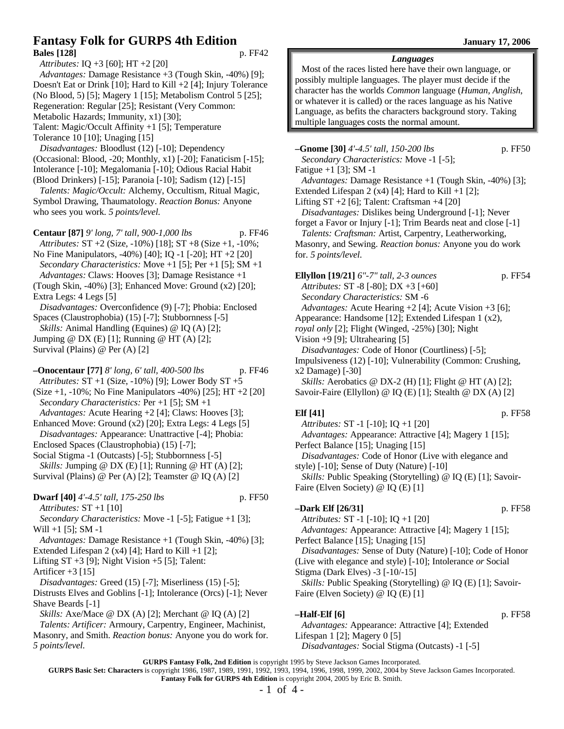# **Fantasy Folk for GURPS 4th Edition January 17, 2006 Bales [128]** p. FF42

*Attributes:* IQ +3 [60]; HT +2 [20] *Advantages:* Damage Resistance +3 (Tough Skin, -40%) [9]; Doesn't Eat or Drink [10]; Hard to Kill +2 [4]; Injury Tolerance (No Blood, 5) [5]; Magery 1 [15]; Metabolism Control 5 [25]; Regeneration: Regular [25]; Resistant (Very Common: Metabolic Hazards; Immunity, x1) [30]; Talent: Magic/Occult Affinity +1 [5]; Temperature Tolerance 10 [10]; Unaging [15]

*Disadvantages:* Bloodlust (12) [-10]; Dependency (Occasional: Blood, -20; Monthly, x1) [-20]; Fanaticism [-15]; Intolerance [-10]; Megalomania [-10]; Odious Racial Habit (Blood Drinkers) [-15]; Paranoia [-10]; Sadism (12) [-15]

*Talents: Magic/Occult:* Alchemy, Occultism, Ritual Magic, Symbol Drawing, Thaumatology. *Reaction Bonus:* Anyone who sees you work. *5 points/level.*

**Centaur [87]** *9' long, 7' tall, 900-1,000 lbs* p. FF46 *Attributes:* ST +2 (Size, -10%) [18]; ST +8 (Size +1, -10%; No Fine Manipulators, -40%) [40]; IQ -1 [-20]; HT +2 [20] *Secondary Characteristics:* Move +1 [5]; Per +1 [5]; SM +1 *Advantages:* Claws: Hooves [3]; Damage Resistance +1 (Tough Skin, -40%) [3]; Enhanced Move: Ground (x2) [20]; Extra Legs: 4 Legs [5] *Disadvantages:* Overconfidence (9) [-7]; Phobia: Enclosed Spaces (Claustrophobia) (15) [-7]; Stubbornness [-5] *Skills:* Animal Handling (Equines) @ IQ (A) [2]; Jumping  $\omega$  DX (E) [1]; Running  $\omega$  HT (A) [2];

Survival (Plains) @ Per (A) [2]

**–Onocentaur [77]** *8' long, 6' tall, 400-500 lbs* p. FF46 *Attributes:* ST +1 (Size, -10%) [9]; Lower Body ST +5 (Size +1, -10%; No Fine Manipulators -40%) [25]; HT +2 [20] *Secondary Characteristics:* Per +1 [5]; SM +1 *Advantages:* Acute Hearing +2 [4]; Claws: Hooves [3]; Enhanced Move: Ground (x2) [20]; Extra Legs: 4 Legs [5] *Disadvantages:* Appearance: Unattractive [-4]; Phobia: Enclosed Spaces (Claustrophobia) (15) [-7]; Social Stigma -1 (Outcasts) [-5]; Stubbornness [-5] *Skills: Jumping @ DX (E) [1]; Running @ HT (A) [2];* Survival (Plains) @ Per (A) [2]; Teamster @ IQ (A) [2] **Dwarf [40]** *4'-4.5' tall, 175-250 lbs* p. FF50 *Attributes:* ST +1 [10] *Secondary Characteristics:* Move -1 [-5]; Fatigue +1 [3]; Will  $+1$  [5]; SM  $-1$ *Advantages:* Damage Resistance +1 (Tough Skin, -40%) [3]; Extended Lifespan 2 (x4) [4]; Hard to Kill  $+1$  [2]; Lifting  $ST +3$  [9]; Night Vision  $+5$  [5]; Talent: Artificer  $+3$  [15] *Disadvantages:* Greed (15) [-7]; Miserliness (15) [-5]; Distrusts Elves and Goblins [-1]; Intolerance (Orcs) [-1]; Never Shave Beards [-1] *Skills:* Axe/Mace @ DX (A) [2]; Merchant @ IQ (A) [2] *Talents: Artificer:* Armoury, Carpentry, Engineer, Machinist, Masonry, and Smith. *Reaction bonus:* Anyone you do work for.

*5 points/level.*

*Languages*

Most of the races listed here have their own language, or possibly multiple languages. The player must decide if the character has the worlds *Common* language (*Human, Anglish*, or whatever it is called) or the races language as his Native Language, as befits the characters background story. Taking multiple languages costs the normal amount.

**–Gnome [30]** *4'-4.5' tall, 150-200 lbs* p. FF50 *Secondary Characteristics:* Move -1 [-5]; Fatigue  $+1$  [3]; SM  $-1$ *Advantages:* Damage Resistance +1 (Tough Skin, -40%) [3]; Extended Lifespan 2 (x4) [4]; Hard to Kill  $+1$  [2]; Lifting  $ST + 2$  [6]; Talent: Craftsman  $+4$  [20] *Disadvantages:* Dislikes being Underground [-1]; Never forget a Favor or Injury [-1]; Trim Beards neat and close [-1] *Talents: Craftsman:* Artist, Carpentry, Leatherworking, Masonry, and Sewing. *Reaction bonus:* Anyone you do work for. *5 points/level.* **Ellyllon [19/21]** *6"-7" tall, 2-3 ounces* p. FF54 *Attributes:* ST -8 [-80]; DX +3 [+60] *Secondary Characteristics:* SM -6

*Advantages:* Acute Hearing +2 [4]; Acute Vision +3 [6];

Appearance: Handsome [12]; Extended Lifespan 1 (x2),

*royal only* [2]; Flight (Winged, -25%) [30]; Night

Vision +9 [9]; Ultrahearing [5]

*Disadvantages:* Code of Honor (Courtliness) [-5];

Impulsiveness (12) [-10]; Vulnerability (Common: Crushing, x2 Damage) [-30]

*Skills:* Aerobatics @ DX-2 (H) [1]; Flight @ HT (A) [2]; Savoir-Faire (Ellyllon) @ IQ (E) [1]; Stealth @ DX (A) [2]

# **Elf [41]** p. FF58

*Attributes:* ST -1 [-10]; IQ +1 [20] *Advantages:* Appearance: Attractive [4]; Magery 1 [15]; Perfect Balance [15]; Unaging [15] *Disadvantages:* Code of Honor (Live with elegance and style) [-10]; Sense of Duty (Nature) [-10] *Skills:* Public Speaking (Storytelling) @ IQ (E) [1]; Savoir-Faire (Elven Society) @ IQ (E) [1]

# **–Dark Elf [26/31]** p. FF58

*Attributes:* ST -1 [-10]; IQ +1 [20]

*Advantages:* Appearance: Attractive [4]; Magery 1 [15]; Perfect Balance [15]; Unaging [15]

*Disadvantages:* Sense of Duty (Nature) [-10]; Code of Honor (Live with elegance and style) [-10]; Intolerance *or* Social Stigma (Dark Elves) -3 [-10/-15]

*Skills:* Public Speaking (Storytelling) @ IQ (E) [1]; Savoir-Faire (Elven Society) @ IQ (E) [1]

# **–Half-Elf [6]** p. FF58

*Advantages:* Appearance: Attractive [4]; Extended Lifespan 1 [2]; Magery 0 [5] *Disadvantages:* Social Stigma (Outcasts) -1 [-5]

**GURPS Fantasy Folk, 2nd Edition** is copyright 1995 by Steve Jackson Games Incorporated.

**GURPS Basic Set: Characters** is copyright 1986, 1987, 1989, 1991, 1992, 1993, 1994, 1996, 1998, 1999, 2002, 2004 by Steve Jackson Games Incorporated. **Fantasy Folk for GURPS 4th Edition** is copyright 2004, 2005 by Eric B. Smith.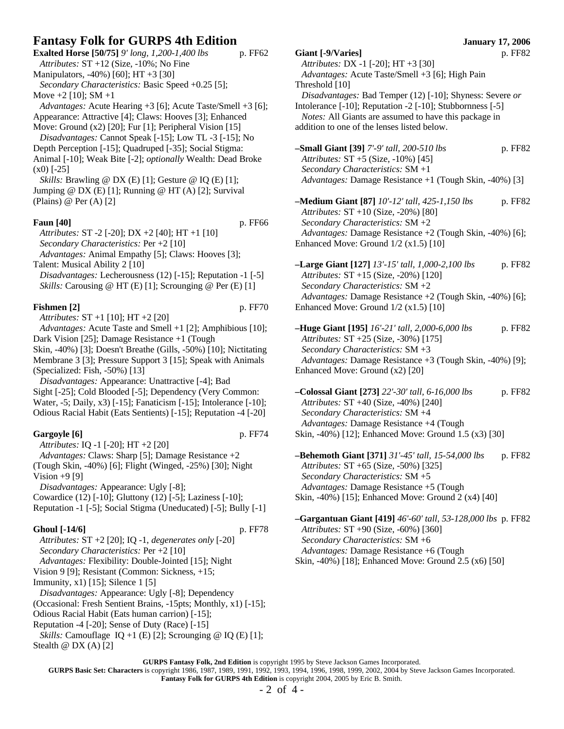| Fantasy Folk for GURPS 4th Edition                                                                                                                                                               | <b>January 17, 2006</b>                                                                                                                                                              |                                                          |  |
|--------------------------------------------------------------------------------------------------------------------------------------------------------------------------------------------------|--------------------------------------------------------------------------------------------------------------------------------------------------------------------------------------|----------------------------------------------------------|--|
| Exalted Horse [50/75] 9' long, 1,200-1,400 lbs<br>p. FF62<br>Attributes: $ST + 12$ (Size, $-10\%$ ; No Fine                                                                                      | Giant [-9/Varies]<br>p. FF82<br>Attributes: DX -1 [-20]; HT +3 [30]                                                                                                                  |                                                          |  |
| Manipulators, -40%) [60]; HT +3 [30]<br>Secondary Characteristics: Basic Speed +0.25 [5];                                                                                                        | Advantages: Acute Taste/Smell +3 [6]; High Pain<br>Threshold [10]                                                                                                                    |                                                          |  |
| Move $+2$ [10]; SM $+1$                                                                                                                                                                          |                                                                                                                                                                                      | Disadvantages: Bad Temper (12) [-10]; Shyness: Severe or |  |
| Advantages: Acute Hearing +3 [6]; Acute Taste/Smell +3 [6];<br>Appearance: Attractive [4]; Claws: Hooves [3]; Enhanced<br>Move: Ground (x2) [20]; Fur [1]; Peripheral Vision [15]                | Intolerance [-10]; Reputation -2 [-10]; Stubbornness [-5]<br>Notes: All Giants are assumed to have this package in<br>addition to one of the lenses listed below.                    |                                                          |  |
| Disadvantages: Cannot Speak [-15]; Low TL -3 [-15]; No                                                                                                                                           |                                                                                                                                                                                      |                                                          |  |
| Depth Perception [-15]; Quadruped [-35]; Social Stigma:<br>Animal [-10]; Weak Bite [-2]; optionally Wealth: Dead Broke<br>$(x0)$ [-25]                                                           | -Small Giant [39] 7'-9' tall, 200-510 lbs<br>p. FF82<br>Attributes: ST +5 (Size, -10%) [45]<br>Secondary Characteristics: SM +1                                                      |                                                          |  |
| Skills: Brawling @ DX (E) [1]; Gesture @ IQ (E) [1];<br>Jumping @ DX (E) [1]; Running @ HT (A) [2]; Survival                                                                                     | Advantages: Damage Resistance +1 (Tough Skin, -40%) [3]                                                                                                                              |                                                          |  |
| (Plains) @ Per $(A)$ [2]                                                                                                                                                                         | -Medium Giant [87] 10'-12' tall, 425-1,150 lbs<br>p. FF82<br>Attributes: $ST + 10$ (Size, -20%) [80]                                                                                 |                                                          |  |
| <b>Faun</b> [40]<br>p. FF66                                                                                                                                                                      | Secondary Characteristics: SM +2                                                                                                                                                     |                                                          |  |
| Attributes: ST -2 [-20]; DX +2 [40]; HT +1 [10]<br>Secondary Characteristics: Per +2 [10]<br>Advantages: Animal Empathy [5]; Claws: Hooves [3];                                                  | Advantages: Damage Resistance +2 (Tough Skin, -40%) [6];<br>Enhanced Move: Ground $1/2$ (x1.5) [10]                                                                                  |                                                          |  |
| Talent: Musical Ability 2 [10]<br>Disadvantages: Lecherousness (12) [-15]; Reputation -1 [-5]                                                                                                    | -Large Giant [127] $13'$ -15' tall, 1,000-2,100 lbs<br>p. FF82<br>Attributes: ST +15 (Size, -20%) [120]                                                                              |                                                          |  |
| Skills: Carousing @ HT (E) [1]; Scrounging @ Per (E) [1]                                                                                                                                         | Secondary Characteristics: SM +2<br>Advantages: Damage Resistance +2 (Tough Skin, -40%) [6];                                                                                         |                                                          |  |
| p. FF70<br>Fishmen [2]<br>Attributes: ST +1 [10]; HT +2 [20]                                                                                                                                     | Enhanced Move: Ground $1/2$ (x1.5) [10]                                                                                                                                              |                                                          |  |
| Advantages: Acute Taste and Smell +1 [2]; Amphibious [10];<br>Dark Vision [25]; Damage Resistance +1 (Tough<br>Skin, -40%) [3]; Doesn't Breathe (Gills, -50%) [10]; Nictitating                  | -Huge Giant [195] 16'-21' tall, 2,000-6,000 lbs<br>p. FF82<br>Attributes: ST +25 (Size, -30%) [175]<br>Secondary Characteristics: SM +3                                              |                                                          |  |
| Membrane 3 [3]; Pressure Support 3 [15]; Speak with Animals<br>(Specialized: Fish, -50%) [13]<br>Disadvantages: Appearance: Unattractive [-4]; Bad                                               | Advantages: Damage Resistance +3 (Tough Skin, -40%) [9];<br>Enhanced Move: Ground (x2) [20]                                                                                          |                                                          |  |
| Sight [-25]; Cold Blooded [-5]; Dependency (Very Common:<br>Water, -5; Daily, x3) [-15]; Fanaticism [-15]; Intolerance [-10];<br>Odious Racial Habit (Eats Sentients) [-15]; Reputation -4 [-20] | p. FF82<br>-Colossal Giant [273] $22' - 30'$ tall, 6-16,000 lbs<br>Attributes: ST +40 (Size, -40%) [240]<br>Secondary Characteristics: SM +4                                         |                                                          |  |
| Gargoyle [6]<br>p. FF74<br>Attributes: IQ -1 [-20]; HT +2 [20]                                                                                                                                   | Advantages: Damage Resistance +4 (Tough<br>Skin, -40%) [12]; Enhanced Move: Ground 1.5 (x3) [30]                                                                                     |                                                          |  |
| Advantages: Claws: Sharp [5]; Damage Resistance +2<br>(Tough Skin, -40%) [6]; Flight (Winged, -25%) [30]; Night<br>Vision $+9$ [9]<br>Disadvantages: Appearance: Ugly [-8];                      | p. FF82<br>-Behemoth Giant [371] 31'-45' tall, 15-54,000 lbs<br>Attributes: ST +65 (Size, -50%) [325]<br>Secondary Characteristics: SM +5<br>Advantages: Damage Resistance +5 (Tough |                                                          |  |
| Cowardice (12) [-10]; Gluttony (12) [-5]; Laziness [-10];<br>Reputation -1 [-5]; Social Stigma (Uneducated) [-5]; Bully [-1]                                                                     | Skin, -40%) [15]; Enhanced Move: Ground 2 (x4) [40]                                                                                                                                  |                                                          |  |
|                                                                                                                                                                                                  | <b>-Gargantuan Giant [419]</b> 46'-60' tall, 53-128,000 lbs p. FF82                                                                                                                  |                                                          |  |
| <b>Ghoul</b> [-14/6]<br>p. FF78                                                                                                                                                                  | Attributes: ST +90 (Size, -60%) [360]                                                                                                                                                |                                                          |  |
| Attributes: $ST + 2$ [20]; IQ -1, degenerates only [-20]<br>Secondary Characteristics: Per +2 [10]                                                                                               | Secondary Characteristics: SM +6<br>Advantages: Damage Resistance +6 (Tough                                                                                                          |                                                          |  |
| Advantages: Flexibility: Double-Jointed [15]; Night<br>Vision 9 [9]; Resistant (Common: Sickness, +15;                                                                                           | Skin, -40%) [18]; Enhanced Move: Ground 2.5 (x6) [50]                                                                                                                                |                                                          |  |

Immunity, x1) [15]; Silence 1 [5]

*Disadvantages:* Appearance: Ugly [-8]; Dependency

(Occasional: Fresh Sentient Brains, -15pts; Monthly, x1) [-15];

Odious Racial Habit (Eats human carrion) [-15];

Reputation -4 [-20]; Sense of Duty (Race) [-15]

*Skills:* Camouflage  $IQ + 1 (E) [2]$ ; Scrounging @  $IQ (E) [1]$ ; Stealth  $\omega$  DX (A) [2]

- **–Large Giant [127]** *13'-15' tall, 1,000-2,100 lbs* p. FF82 *Attributes:* ST +15 (Size, -20%) [120] *Secondary Characteristics:* SM +2 *Advantages:* Damage Resistance +2 (Tough Skin, -40%) [6]; Enhanced Move: Ground 1/2 (x1.5) [10]
- **–Huge Giant [195]** *16'-21' tall, 2,000-6,000 lbs* p. FF82 *Attributes:* ST +25 (Size, -30%) [175] *Secondary Characteristics:* SM +3 *Advantages:* Damage Resistance +3 (Tough Skin, -40%) [9]; Enhanced Move: Ground (x2) [20]
- **–Colossal Giant [273]** *22'-30' tall, 6-16,000 lbs* p. FF82 *Attributes:* ST +40 (Size, -40%) [240] *Secondary Characteristics:* SM +4 *Advantages:* Damage Resistance +4 (Tough Skin, -40%) [12]; Enhanced Move: Ground 1.5 (x3) [30]

**GURPS Fantasy Folk, 2nd Edition** is copyright 1995 by Steve Jackson Games Incorporated.

**GURPS Basic Set: Characters** is copyright 1986, 1987, 1989, 1991, 1992, 1993, 1994, 1996, 1998, 1999, 2002, 2004 by Steve Jackson Games Incorporated. **Fantasy Folk for GURPS 4th Edition** is copyright 2004, 2005 by Eric B. Smith.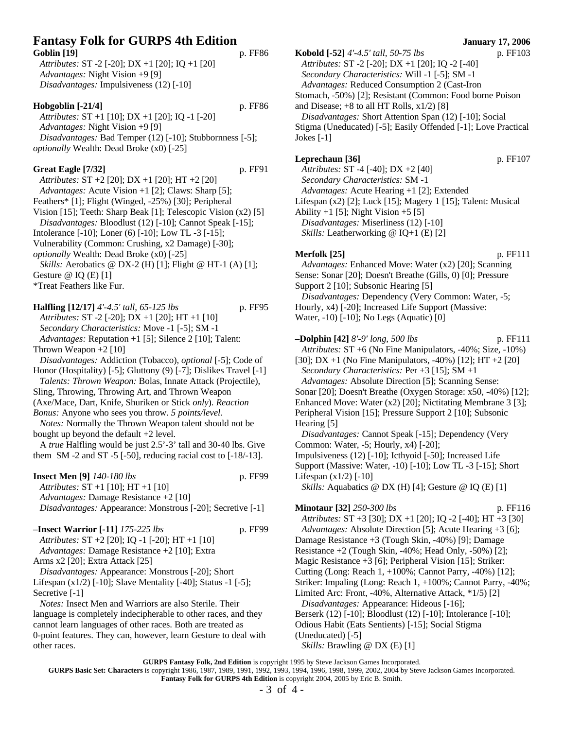# **Fantasy Folk for GURPS 4th Edition January 17, 2006** Goblin [19] p. FF86

*Attributes:* ST -2 [-20]; DX +1 [20]; IQ +1 [20] *Advantages:* Night Vision +9 [9] *Disadvantages:* Impulsiveness (12) [-10]

#### **Hobgoblin [-21/4]** p. FF86

*Attributes:* ST +1 [10]; DX +1 [20]; IQ -1 [-20] *Advantages:* Night Vision +9 [9] *Disadvantages:* Bad Temper (12) [-10]; Stubbornness [-5]; *optionally* Wealth: Dead Broke (x0) [-25]

### **Great Eagle [7/32]** p. FF91

*Attributes:* ST +2 [20]; DX +1 [20]; HT +2 [20] *Advantages:* Acute Vision +1 [2]; Claws: Sharp [5]; Feathers\* [1]; Flight (Winged, -25%) [30]; Peripheral Vision [15]; Teeth: Sharp Beak [1]; Telescopic Vision (x2) [5] *Disadvantages:* Bloodlust (12) [-10]; Cannot Speak [-15]; Intolerance [-10]; Loner (6) [-10]; Low TL -3 [-15]; Vulnerability (Common: Crushing, x2 Damage) [-30]; *optionally* Wealth: Dead Broke (x0) [-25] *Skills:* Aerobatics @ DX-2 (H) [1]; Flight @ HT-1 (A) [1]; Gesture @ IQ (E) [1]

\*Treat Feathers like Fur.

**Halfling [12/17]** *4'-4.5' tall, 65-125 lbs* p. FF95 *Attributes:* ST -2 [-20]; DX +1 [20]; HT +1 [10] *Secondary Characteristics:* Move -1 [-5]; SM -1 *Advantages:* Reputation +1 [5]; Silence 2 [10]; Talent: Thrown Weapon +2 [10] *Disadvantages:* Addiction (Tobacco), *optional* [-5]; Code of Honor (Hospitality) [-5]; Gluttony (9) [-7]; Dislikes Travel [-1] *Talents: Thrown Weapon:* Bolas, Innate Attack (Projectile), Sling, Throwing, Throwing Art, and Thrown Weapon

(Axe/Mace, Dart, Knife, Shuriken or Stick *only*). *Reaction Bonus:* Anyone who sees you throw. *5 points/level.*

*Notes:* Normally the Thrown Weapon talent should not be bought up beyond the default +2 level.

A *true* Halfling would be just 2.5'-3' tall and 30-40 lbs. Give them SM -2 and ST -5 [-50], reducing racial cost to  $[-18/-13]$ .

**Insect Men [9]** *140-180 lbs* p. FF99 *Attributes:* ST +1 [10]; HT +1 [10] *Advantages:* Damage Resistance +2 [10] *Disadvantages:* Appearance: Monstrous [-20]; Secretive [-1]

| $-$ Insect Warrior [-11] $175-225$ lbs                | p. FF99 |
|-------------------------------------------------------|---------|
| Attributes: $ST + 2$ [20]; IQ -1 [-20]; HT +1 [10]    |         |
| <i>Advantages:</i> Damage Resistance $+2$ [10]; Extra |         |
| Arms x2 [20]; Extra Attack [25]                       |         |
| Disadvantages: Appearance: Monstrous [-20]; Short     |         |

Lifespan  $(x1/2)$  [-10]; Slave Mentality [-40]; Status -1 [-5]; Secretive [-1]

*Notes:* Insect Men and Warriors are also Sterile. Their language is completely indecipherable to other races, and they cannot learn languages of other races. Both are treated as 0-point features. They can, however, learn Gesture to deal with other races.

**Kobold [-52]** *4'-4.5' tall, 50-75 lbs* p. FF103 *Attributes:* ST -2 [-20]; DX +1 [20]; IQ -2 [-40] *Secondary Characteristics:* Will -1 [-5]; SM -1 *Advantages:* Reduced Consumption 2 (Cast-Iron Stomach, -50%) [2]; Resistant (Common: Food borne Poison and Disease;  $+8$  to all HT Rolls,  $x1/2$  [8] *Disadvantages:* Short Attention Span (12) [-10]; Social Stigma (Uneducated) [-5]; Easily Offended [-1]; Love Practical Jokes [-1]

#### **Leprechaun [36]** p. FF107

*Attributes:* ST -4 [-40]; DX +2 [40] *Secondary Characteristics:* SM -1 *Advantages:* Acute Hearing +1 [2]; Extended Lifespan (x2) [2]; Luck [15]; Magery 1 [15]; Talent: Musical Ability  $+1$  [5]; Night Vision  $+5$  [5] *Disadvantages:* Miserliness (12) [-10]

*Skills:* Leatherworking @ IQ+1 (E) [2]

### **Merfolk [25]** p. FF111

*Advantages:* Enhanced Move: Water (x2) [20]; Scanning Sense: Sonar [20]; Doesn't Breathe (Gills, 0) [0]; Pressure Support 2 [10]; Subsonic Hearing [5] *Disadvantages:* Dependency (Very Common: Water, -5; Hourly, x4) [-20]; Increased Life Support (Massive: Water, -10) [-10]; No Legs (Aquatic) [0]

**–Dolphin [42]** *8'-9' long, 500 lbs* p. FF111 *Attributes:* ST +6 (No Fine Manipulators, -40%; Size, -10%) [30]; DX +1 (No Fine Manipulators, -40%) [12]; HT +2 [20] *Secondary Characteristics:* Per +3 [15]; SM +1 *Advantages:* Absolute Direction [5]; Scanning Sense: Sonar [20]; Doesn't Breathe (Oxygen Storage: x50, -40%) [12]; Enhanced Move: Water (x2) [20]; Nictitating Membrane 3 [3]; Peripheral Vision [15]; Pressure Support 2 [10]; Subsonic Hearing [5] *Disadvantages:* Cannot Speak [-15]; Dependency (Very Common: Water, -5; Hourly, x4) [-20]; Impulsiveness (12) [-10]; Icthyoid [-50]; Increased Life Support (Massive: Water, -10) [-10]; Low TL -3 [-15]; Short Lifespan  $(x1/2)$  [-10] *Skills:* Aquabatics @ DX (H) [4]; Gesture @ IQ (E) [1] **Minotaur** [32] 250-300 *lbs* p. FF116 *Attributes:* ST +3 [30]; DX +1 [20]; IQ -2 [-40]; HT +3 [30] *Advantages:* Absolute Direction [5]; Acute Hearing +3 [6]; Damage Resistance +3 (Tough Skin, -40%) [9]; Damage Resistance  $+2$  (Tough Skin,  $-40\%$ ; Head Only,  $-50\%$ ) [2]; Magic Resistance +3 [6]; Peripheral Vision [15]; Striker:

Cutting (Long: Reach 1, +100%; Cannot Parry, -40%) [12];

Striker: Impaling (Long: Reach 1, +100%; Cannot Parry, -40%;

Limited Arc: Front, -40%, Alternative Attack, \*1/5) [2] *Disadvantages:* Appearance: Hideous [-16]; Berserk (12) [-10]; Bloodlust (12) [-10]; Intolerance [-10]; Odious Habit (Eats Sentients) [-15]; Social Stigma

(Uneducated) [-5]

*Skills:* Brawling @ DX (E) [1]

**GURPS Fantasy Folk, 2nd Edition** is copyright 1995 by Steve Jackson Games Incorporated.

**GURPS Basic Set: Characters** is copyright 1986, 1987, 1989, 1991, 1992, 1993, 1994, 1996, 1998, 1999, 2002, 2004 by Steve Jackson Games Incorporated. **Fantasy Folk for GURPS 4th Edition** is copyright 2004, 2005 by Eric B. Smith.